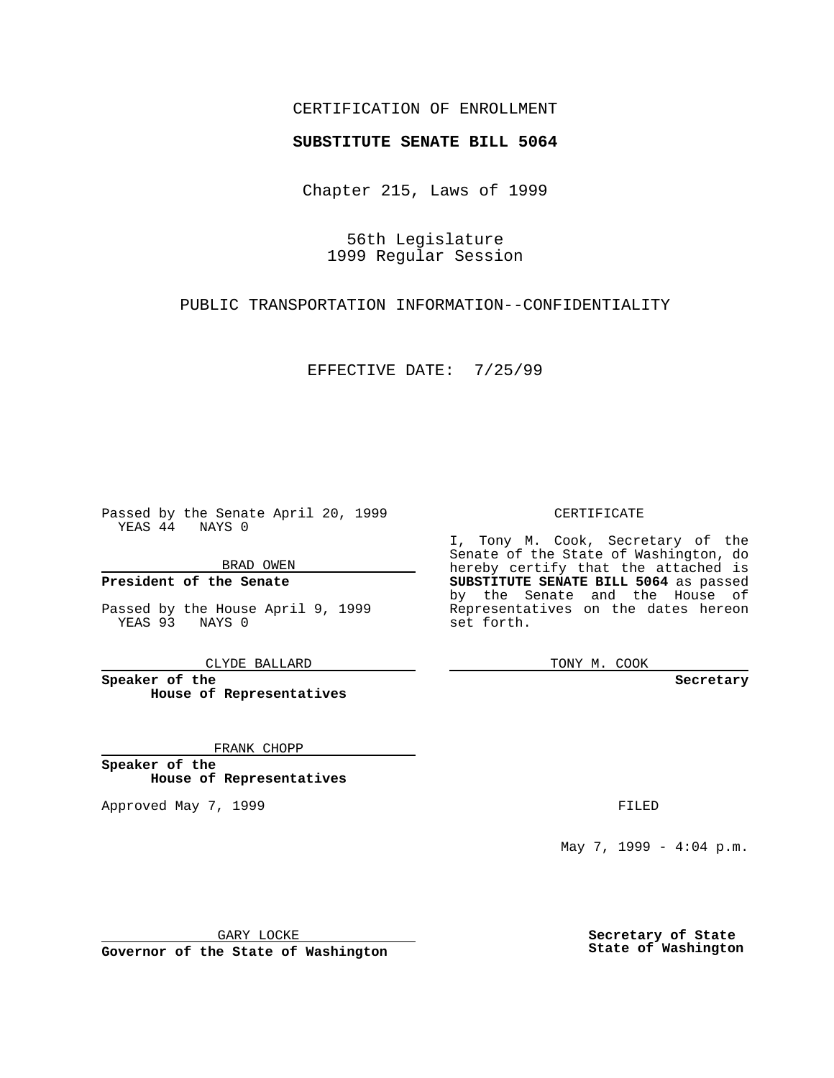## CERTIFICATION OF ENROLLMENT

# **SUBSTITUTE SENATE BILL 5064**

Chapter 215, Laws of 1999

56th Legislature 1999 Regular Session

PUBLIC TRANSPORTATION INFORMATION--CONFIDENTIALITY

EFFECTIVE DATE: 7/25/99

Passed by the Senate April 20, 1999 YEAS 44 NAYS 0

BRAD OWEN

**President of the Senate**

Passed by the House April 9, 1999 YEAS 93 NAYS 0

CLYDE BALLARD

**Speaker of the House of Representatives**

FRANK CHOPP

**Speaker of the House of Representatives**

Approved May 7, 1999 **FILED** 

CERTIFICATE

I, Tony M. Cook, Secretary of the Senate of the State of Washington, do hereby certify that the attached is **SUBSTITUTE SENATE BILL 5064** as passed by the Senate and the House of Representatives on the dates hereon set forth.

TONY M. COOK

**Secretary**

May 7, 1999 - 4:04 p.m.

GARY LOCKE

**Governor of the State of Washington**

**Secretary of State State of Washington**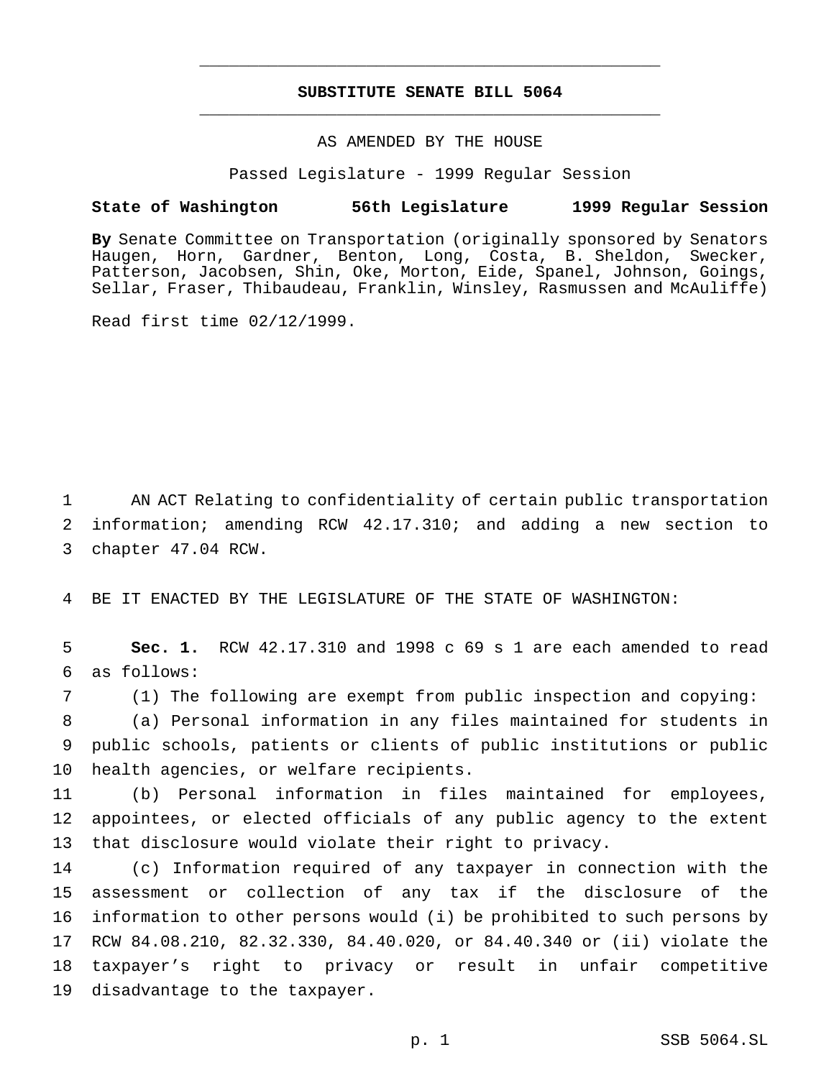## **SUBSTITUTE SENATE BILL 5064** \_\_\_\_\_\_\_\_\_\_\_\_\_\_\_\_\_\_\_\_\_\_\_\_\_\_\_\_\_\_\_\_\_\_\_\_\_\_\_\_\_\_\_\_\_\_\_

\_\_\_\_\_\_\_\_\_\_\_\_\_\_\_\_\_\_\_\_\_\_\_\_\_\_\_\_\_\_\_\_\_\_\_\_\_\_\_\_\_\_\_\_\_\_\_

### AS AMENDED BY THE HOUSE

Passed Legislature - 1999 Regular Session

#### **State of Washington 56th Legislature 1999 Regular Session**

**By** Senate Committee on Transportation (originally sponsored by Senators Haugen, Horn, Gardner, Benton, Long, Costa, B. Sheldon, Swecker, Patterson, Jacobsen, Shin, Oke, Morton, Eide, Spanel, Johnson, Goings, Sellar, Fraser, Thibaudeau, Franklin, Winsley, Rasmussen and McAuliffe)

Read first time 02/12/1999.

 AN ACT Relating to confidentiality of certain public transportation information; amending RCW 42.17.310; and adding a new section to chapter 47.04 RCW.

BE IT ENACTED BY THE LEGISLATURE OF THE STATE OF WASHINGTON:

 **Sec. 1.** RCW 42.17.310 and 1998 c 69 s 1 are each amended to read as follows:

 (1) The following are exempt from public inspection and copying: (a) Personal information in any files maintained for students in public schools, patients or clients of public institutions or public health agencies, or welfare recipients.

 (b) Personal information in files maintained for employees, appointees, or elected officials of any public agency to the extent that disclosure would violate their right to privacy.

 (c) Information required of any taxpayer in connection with the assessment or collection of any tax if the disclosure of the information to other persons would (i) be prohibited to such persons by RCW 84.08.210, 82.32.330, 84.40.020, or 84.40.340 or (ii) violate the taxpayer's right to privacy or result in unfair competitive disadvantage to the taxpayer.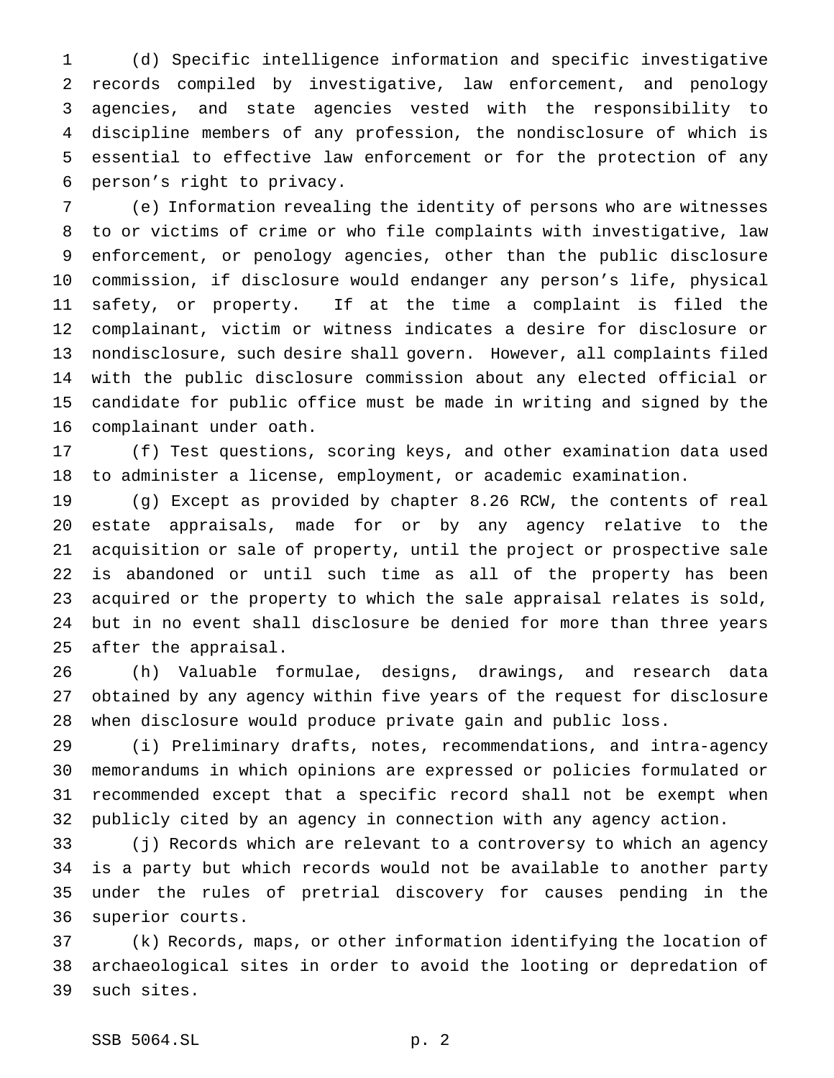(d) Specific intelligence information and specific investigative records compiled by investigative, law enforcement, and penology agencies, and state agencies vested with the responsibility to discipline members of any profession, the nondisclosure of which is essential to effective law enforcement or for the protection of any person's right to privacy.

 (e) Information revealing the identity of persons who are witnesses to or victims of crime or who file complaints with investigative, law enforcement, or penology agencies, other than the public disclosure commission, if disclosure would endanger any person's life, physical safety, or property. If at the time a complaint is filed the complainant, victim or witness indicates a desire for disclosure or nondisclosure, such desire shall govern. However, all complaints filed with the public disclosure commission about any elected official or candidate for public office must be made in writing and signed by the complainant under oath.

 (f) Test questions, scoring keys, and other examination data used to administer a license, employment, or academic examination.

 (g) Except as provided by chapter 8.26 RCW, the contents of real estate appraisals, made for or by any agency relative to the acquisition or sale of property, until the project or prospective sale is abandoned or until such time as all of the property has been acquired or the property to which the sale appraisal relates is sold, but in no event shall disclosure be denied for more than three years after the appraisal.

 (h) Valuable formulae, designs, drawings, and research data obtained by any agency within five years of the request for disclosure when disclosure would produce private gain and public loss.

 (i) Preliminary drafts, notes, recommendations, and intra-agency memorandums in which opinions are expressed or policies formulated or recommended except that a specific record shall not be exempt when publicly cited by an agency in connection with any agency action.

 (j) Records which are relevant to a controversy to which an agency is a party but which records would not be available to another party under the rules of pretrial discovery for causes pending in the superior courts.

 (k) Records, maps, or other information identifying the location of archaeological sites in order to avoid the looting or depredation of such sites.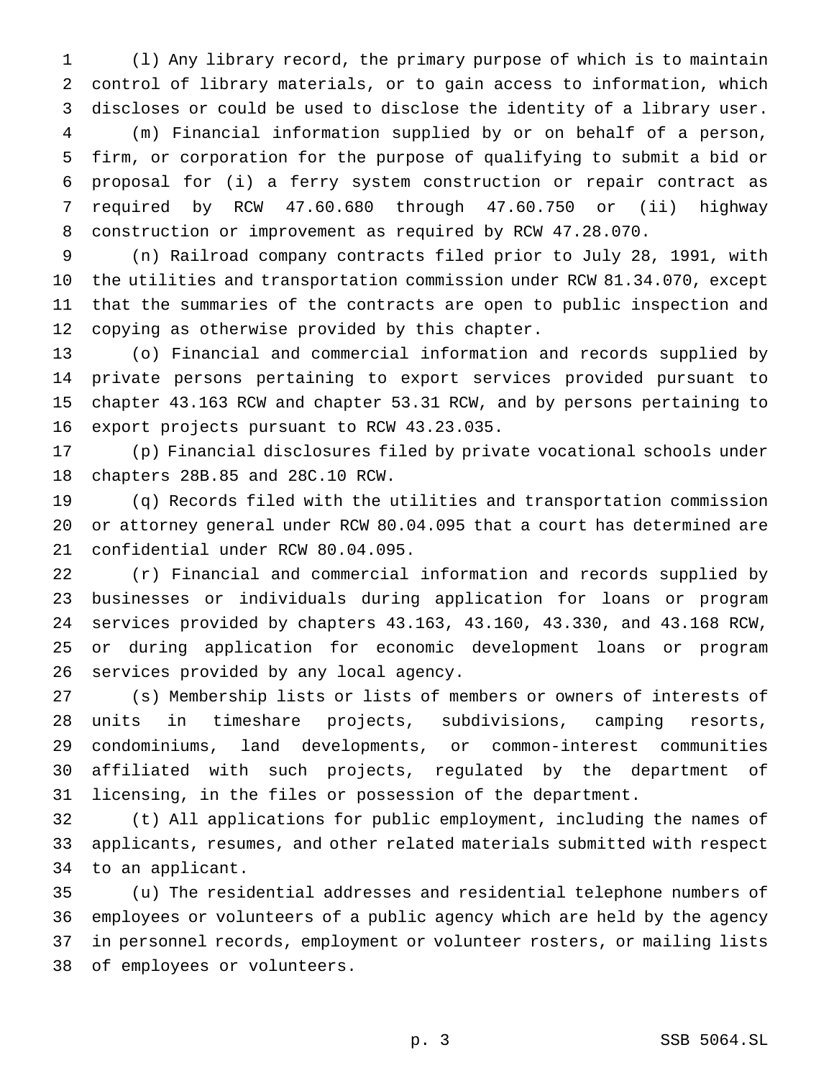(l) Any library record, the primary purpose of which is to maintain control of library materials, or to gain access to information, which discloses or could be used to disclose the identity of a library user.

 (m) Financial information supplied by or on behalf of a person, firm, or corporation for the purpose of qualifying to submit a bid or proposal for (i) a ferry system construction or repair contract as required by RCW 47.60.680 through 47.60.750 or (ii) highway construction or improvement as required by RCW 47.28.070.

 (n) Railroad company contracts filed prior to July 28, 1991, with the utilities and transportation commission under RCW 81.34.070, except that the summaries of the contracts are open to public inspection and copying as otherwise provided by this chapter.

 (o) Financial and commercial information and records supplied by private persons pertaining to export services provided pursuant to chapter 43.163 RCW and chapter 53.31 RCW, and by persons pertaining to export projects pursuant to RCW 43.23.035.

 (p) Financial disclosures filed by private vocational schools under chapters 28B.85 and 28C.10 RCW.

 (q) Records filed with the utilities and transportation commission or attorney general under RCW 80.04.095 that a court has determined are confidential under RCW 80.04.095.

 (r) Financial and commercial information and records supplied by businesses or individuals during application for loans or program services provided by chapters 43.163, 43.160, 43.330, and 43.168 RCW, or during application for economic development loans or program services provided by any local agency.

 (s) Membership lists or lists of members or owners of interests of units in timeshare projects, subdivisions, camping resorts, condominiums, land developments, or common-interest communities affiliated with such projects, regulated by the department of licensing, in the files or possession of the department.

 (t) All applications for public employment, including the names of applicants, resumes, and other related materials submitted with respect to an applicant.

 (u) The residential addresses and residential telephone numbers of employees or volunteers of a public agency which are held by the agency in personnel records, employment or volunteer rosters, or mailing lists of employees or volunteers.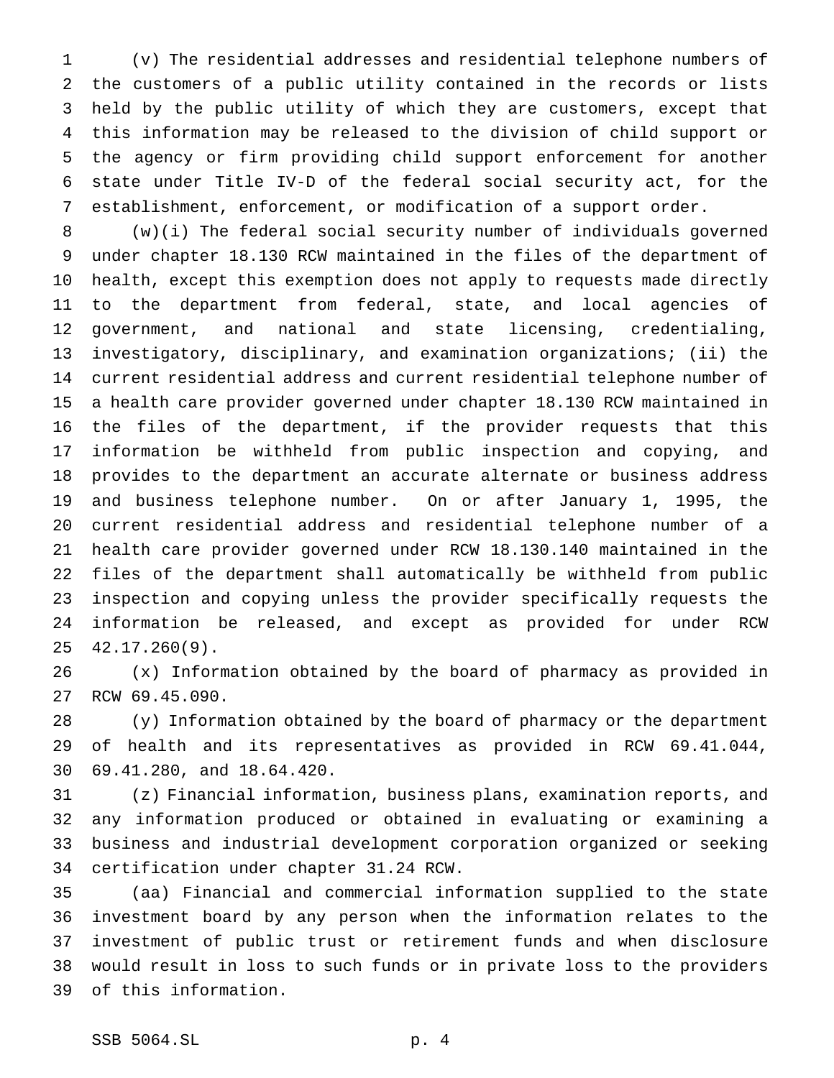(v) The residential addresses and residential telephone numbers of the customers of a public utility contained in the records or lists held by the public utility of which they are customers, except that this information may be released to the division of child support or the agency or firm providing child support enforcement for another state under Title IV-D of the federal social security act, for the establishment, enforcement, or modification of a support order.

 (w)(i) The federal social security number of individuals governed under chapter 18.130 RCW maintained in the files of the department of health, except this exemption does not apply to requests made directly to the department from federal, state, and local agencies of government, and national and state licensing, credentialing, investigatory, disciplinary, and examination organizations; (ii) the current residential address and current residential telephone number of a health care provider governed under chapter 18.130 RCW maintained in the files of the department, if the provider requests that this information be withheld from public inspection and copying, and provides to the department an accurate alternate or business address and business telephone number. On or after January 1, 1995, the current residential address and residential telephone number of a health care provider governed under RCW 18.130.140 maintained in the files of the department shall automatically be withheld from public inspection and copying unless the provider specifically requests the information be released, and except as provided for under RCW 42.17.260(9).

 (x) Information obtained by the board of pharmacy as provided in RCW 69.45.090.

 (y) Information obtained by the board of pharmacy or the department of health and its representatives as provided in RCW 69.41.044, 69.41.280, and 18.64.420.

 (z) Financial information, business plans, examination reports, and any information produced or obtained in evaluating or examining a business and industrial development corporation organized or seeking certification under chapter 31.24 RCW.

 (aa) Financial and commercial information supplied to the state investment board by any person when the information relates to the investment of public trust or retirement funds and when disclosure would result in loss to such funds or in private loss to the providers of this information.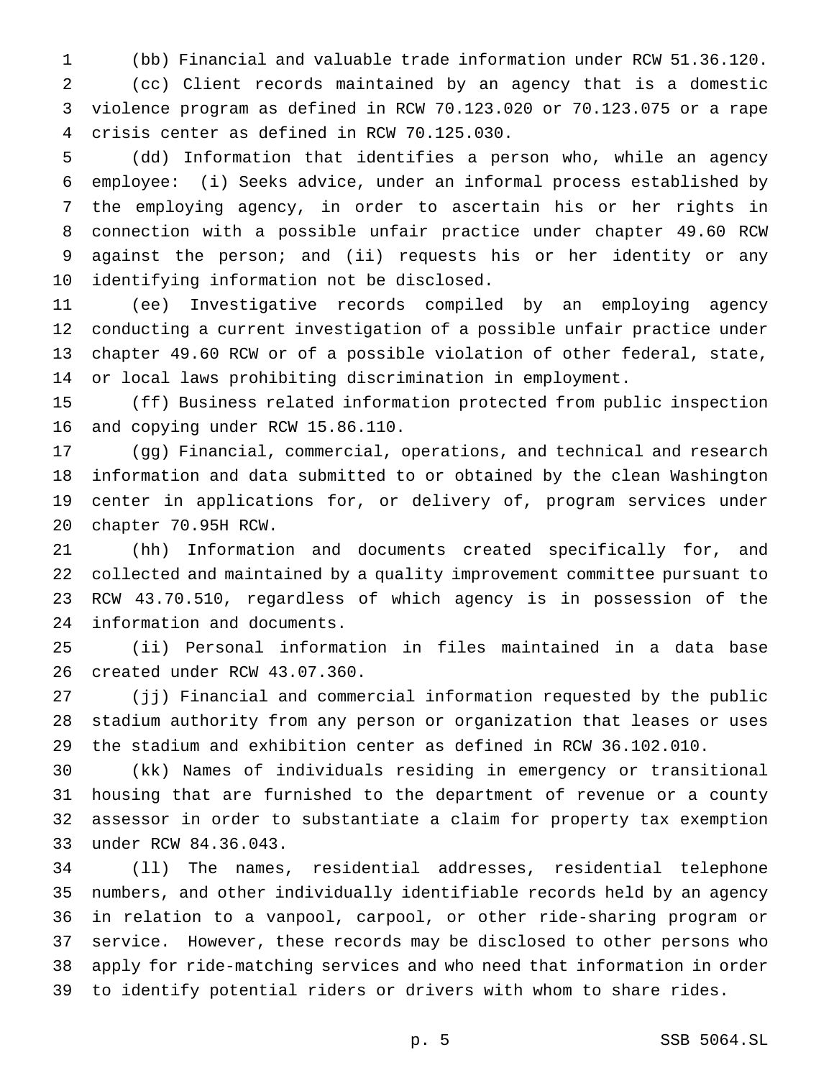(bb) Financial and valuable trade information under RCW 51.36.120. (cc) Client records maintained by an agency that is a domestic violence program as defined in RCW 70.123.020 or 70.123.075 or a rape crisis center as defined in RCW 70.125.030.

 (dd) Information that identifies a person who, while an agency employee: (i) Seeks advice, under an informal process established by the employing agency, in order to ascertain his or her rights in connection with a possible unfair practice under chapter 49.60 RCW against the person; and (ii) requests his or her identity or any identifying information not be disclosed.

 (ee) Investigative records compiled by an employing agency conducting a current investigation of a possible unfair practice under chapter 49.60 RCW or of a possible violation of other federal, state, or local laws prohibiting discrimination in employment.

 (ff) Business related information protected from public inspection and copying under RCW 15.86.110.

 (gg) Financial, commercial, operations, and technical and research information and data submitted to or obtained by the clean Washington center in applications for, or delivery of, program services under chapter 70.95H RCW.

 (hh) Information and documents created specifically for, and collected and maintained by a quality improvement committee pursuant to RCW 43.70.510, regardless of which agency is in possession of the information and documents.

 (ii) Personal information in files maintained in a data base created under RCW 43.07.360.

 (jj) Financial and commercial information requested by the public stadium authority from any person or organization that leases or uses the stadium and exhibition center as defined in RCW 36.102.010.

 (kk) Names of individuals residing in emergency or transitional housing that are furnished to the department of revenue or a county assessor in order to substantiate a claim for property tax exemption under RCW 84.36.043.

 (ll) The names, residential addresses, residential telephone numbers, and other individually identifiable records held by an agency in relation to a vanpool, carpool, or other ride-sharing program or service. However, these records may be disclosed to other persons who apply for ride-matching services and who need that information in order to identify potential riders or drivers with whom to share rides.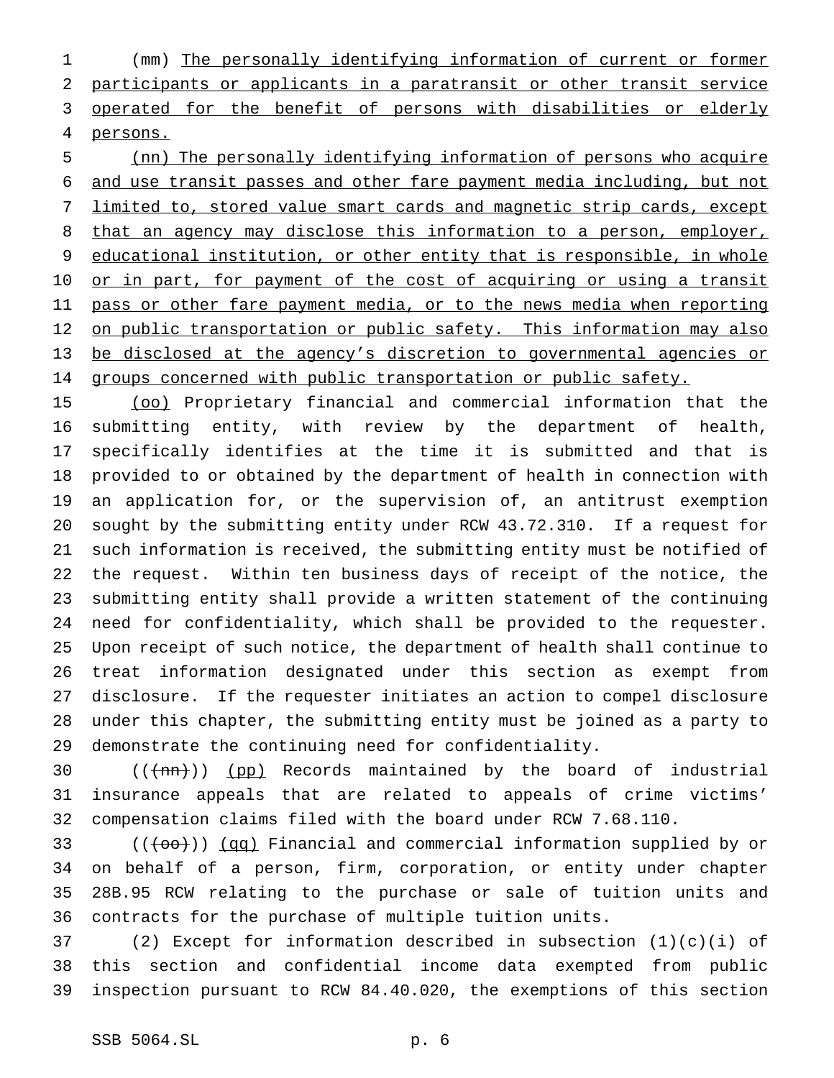(mm) The personally identifying information of current or former participants or applicants in a paratransit or other transit service 3 operated for the benefit of persons with disabilities or elderly persons.

 (nn) The personally identifying information of persons who acquire and use transit passes and other fare payment media including, but not limited to, stored value smart cards and magnetic strip cards, except 8 that an agency may disclose this information to a person, employer, 9 educational institution, or other entity that is responsible, in whole 10 or in part, for payment of the cost of acquiring or using a transit 11 pass or other fare payment media, or to the news media when reporting 12 on public transportation or public safety. This information may also be disclosed at the agency's discretion to governmental agencies or groups concerned with public transportation or public safety.

 (oo) Proprietary financial and commercial information that the submitting entity, with review by the department of health, specifically identifies at the time it is submitted and that is provided to or obtained by the department of health in connection with an application for, or the supervision of, an antitrust exemption sought by the submitting entity under RCW 43.72.310. If a request for such information is received, the submitting entity must be notified of the request. Within ten business days of receipt of the notice, the submitting entity shall provide a written statement of the continuing need for confidentiality, which shall be provided to the requester. Upon receipt of such notice, the department of health shall continue to treat information designated under this section as exempt from disclosure. If the requester initiates an action to compel disclosure under this chapter, the submitting entity must be joined as a party to demonstrate the continuing need for confidentiality.

30  $((+mn))$  (pp) Records maintained by the board of industrial insurance appeals that are related to appeals of crime victims' compensation claims filed with the board under RCW 7.68.110.

33 (((00)) (qq) Financial and commercial information supplied by or on behalf of a person, firm, corporation, or entity under chapter 28B.95 RCW relating to the purchase or sale of tuition units and contracts for the purchase of multiple tuition units.

 (2) Except for information described in subsection (1)(c)(i) of this section and confidential income data exempted from public inspection pursuant to RCW 84.40.020, the exemptions of this section